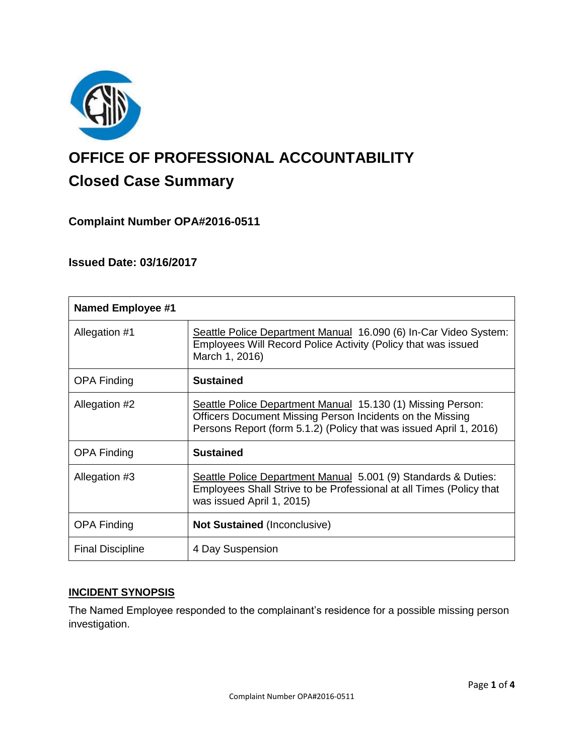

# **OFFICE OF PROFESSIONAL ACCOUNTABILITY Closed Case Summary**

## **Complaint Number OPA#2016-0511**

## **Issued Date: 03/16/2017**

| <b>Named Employee #1</b> |                                                                                                                                                                                                |
|--------------------------|------------------------------------------------------------------------------------------------------------------------------------------------------------------------------------------------|
| Allegation #1            | Seattle Police Department Manual 16.090 (6) In-Car Video System:<br>Employees Will Record Police Activity (Policy that was issued<br>March 1, 2016)                                            |
| <b>OPA Finding</b>       | <b>Sustained</b>                                                                                                                                                                               |
| Allegation #2            | Seattle Police Department Manual 15.130 (1) Missing Person:<br>Officers Document Missing Person Incidents on the Missing<br>Persons Report (form 5.1.2) (Policy that was issued April 1, 2016) |
| <b>OPA Finding</b>       | <b>Sustained</b>                                                                                                                                                                               |
| Allegation #3            | Seattle Police Department Manual 5.001 (9) Standards & Duties:<br>Employees Shall Strive to be Professional at all Times (Policy that<br>was issued April 1, 2015)                             |
| <b>OPA Finding</b>       | <b>Not Sustained (Inconclusive)</b>                                                                                                                                                            |
| <b>Final Discipline</b>  | 4 Day Suspension                                                                                                                                                                               |

## **INCIDENT SYNOPSIS**

The Named Employee responded to the complainant's residence for a possible missing person investigation.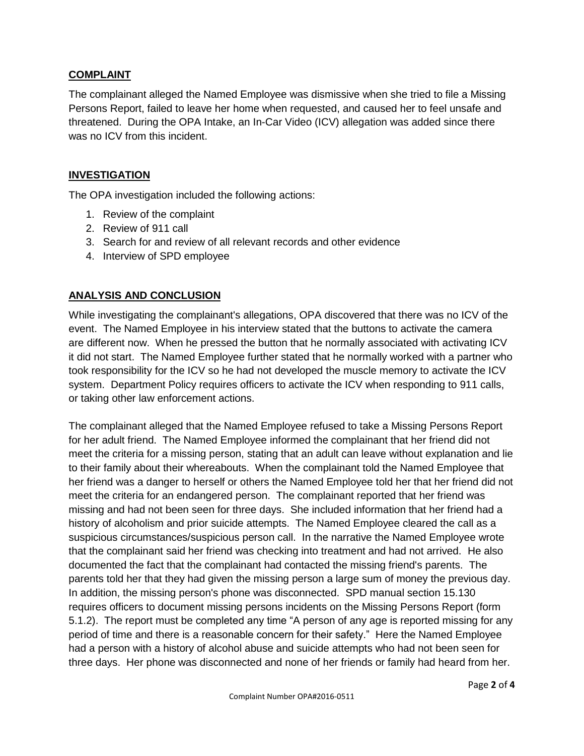#### **COMPLAINT**

The complainant alleged the Named Employee was dismissive when she tried to file a Missing Persons Report, failed to leave her home when requested, and caused her to feel unsafe and threatened. During the OPA Intake, an In-Car Video (ICV) allegation was added since there was no ICV from this incident.

#### **INVESTIGATION**

The OPA investigation included the following actions:

- 1. Review of the complaint
- 2. Review of 911 call
- 3. Search for and review of all relevant records and other evidence
- 4. Interview of SPD employee

## **ANALYSIS AND CONCLUSION**

While investigating the complainant's allegations, OPA discovered that there was no ICV of the event. The Named Employee in his interview stated that the buttons to activate the camera are different now. When he pressed the button that he normally associated with activating ICV it did not start. The Named Employee further stated that he normally worked with a partner who took responsibility for the ICV so he had not developed the muscle memory to activate the ICV system. Department Policy requires officers to activate the ICV when responding to 911 calls, or taking other law enforcement actions.

The complainant alleged that the Named Employee refused to take a Missing Persons Report for her adult friend. The Named Employee informed the complainant that her friend did not meet the criteria for a missing person, stating that an adult can leave without explanation and lie to their family about their whereabouts. When the complainant told the Named Employee that her friend was a danger to herself or others the Named Employee told her that her friend did not meet the criteria for an endangered person. The complainant reported that her friend was missing and had not been seen for three days. She included information that her friend had a history of alcoholism and prior suicide attempts. The Named Employee cleared the call as a suspicious circumstances/suspicious person call. In the narrative the Named Employee wrote that the complainant said her friend was checking into treatment and had not arrived. He also documented the fact that the complainant had contacted the missing friend's parents. The parents told her that they had given the missing person a large sum of money the previous day. In addition, the missing person's phone was disconnected. SPD manual section 15.130 requires officers to document missing persons incidents on the Missing Persons Report (form 5.1.2). The report must be completed any time "A person of any age is reported missing for any period of time and there is a reasonable concern for their safety." Here the Named Employee had a person with a history of alcohol abuse and suicide attempts who had not been seen for three days. Her phone was disconnected and none of her friends or family had heard from her.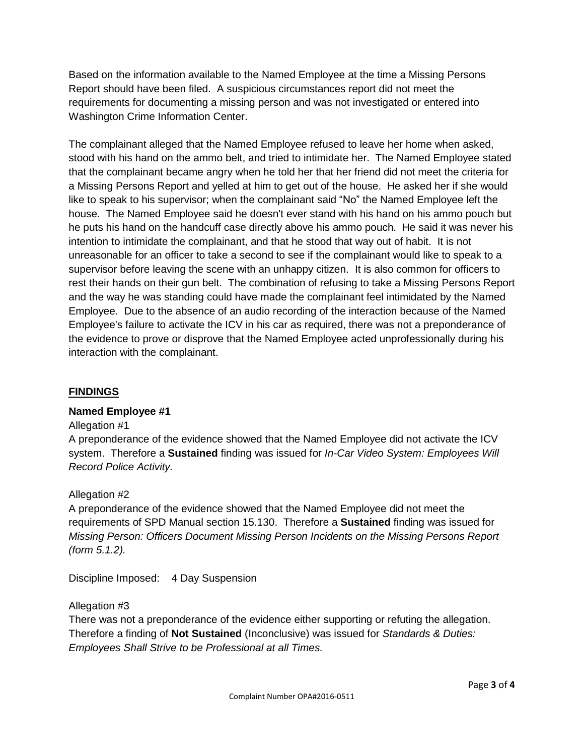Based on the information available to the Named Employee at the time a Missing Persons Report should have been filed. A suspicious circumstances report did not meet the requirements for documenting a missing person and was not investigated or entered into Washington Crime Information Center.

The complainant alleged that the Named Employee refused to leave her home when asked, stood with his hand on the ammo belt, and tried to intimidate her. The Named Employee stated that the complainant became angry when he told her that her friend did not meet the criteria for a Missing Persons Report and yelled at him to get out of the house. He asked her if she would like to speak to his supervisor; when the complainant said "No" the Named Employee left the house. The Named Employee said he doesn't ever stand with his hand on his ammo pouch but he puts his hand on the handcuff case directly above his ammo pouch. He said it was never his intention to intimidate the complainant, and that he stood that way out of habit. It is not unreasonable for an officer to take a second to see if the complainant would like to speak to a supervisor before leaving the scene with an unhappy citizen. It is also common for officers to rest their hands on their gun belt. The combination of refusing to take a Missing Persons Report and the way he was standing could have made the complainant feel intimidated by the Named Employee. Due to the absence of an audio recording of the interaction because of the Named Employee's failure to activate the ICV in his car as required, there was not a preponderance of the evidence to prove or disprove that the Named Employee acted unprofessionally during his interaction with the complainant.

## **FINDINGS**

#### **Named Employee #1**

#### Allegation #1

A preponderance of the evidence showed that the Named Employee did not activate the ICV system. Therefore a **Sustained** finding was issued for *In-Car Video System: Employees Will Record Police Activity.*

#### Allegation #2

A preponderance of the evidence showed that the Named Employee did not meet the requirements of SPD Manual section 15.130. Therefore a **Sustained** finding was issued for *Missing Person: Officers Document Missing Person Incidents on the Missing Persons Report (form 5.1.2).*

Discipline Imposed: 4 Day Suspension

## Allegation #3

There was not a preponderance of the evidence either supporting or refuting the allegation. Therefore a finding of **Not Sustained** (Inconclusive) was issued for *Standards & Duties: Employees Shall Strive to be Professional at all Times.*